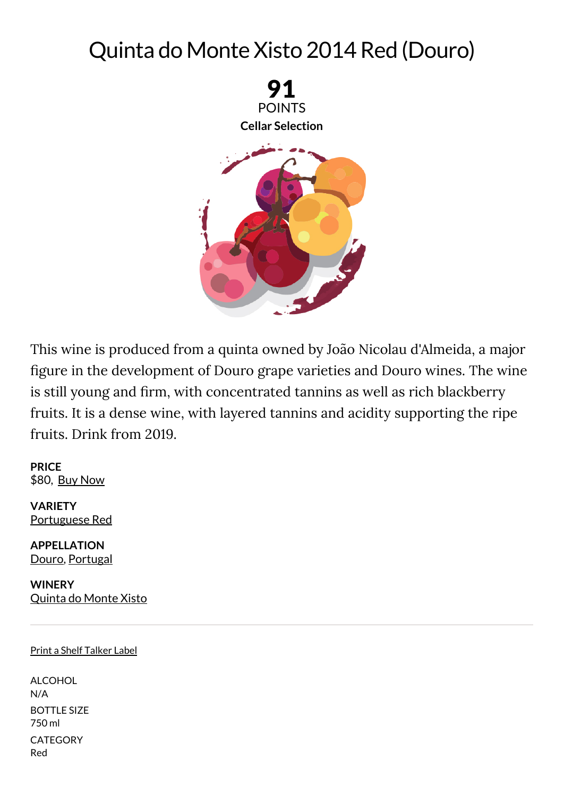## Quinta do Monte Xisto 2014 Red (Douro)



This wine is produced from a quinta owned by João Nicolau d'Almeida, a major figure in the development of Douro grape varieties and Douro wines. The wine is still young and firm, with concentrated tannins as well as rich blackberry fruits. It is a dense wine, with layered tannins and acidity supporting the ripe fruits. Drink from 2019.

**PRICE** \$80, Buy [Now](http://www.wine-searcher.com/find/quinta+do+monte+xisto+douro+portuguese+red/2014/USA/USD/?referring_site=WEM)

**VARIETY** [Portuguese](http://www.winemag.com/?s=Portuguese%20Red) Red

**APPELLATION** [Douro](http://www.winemag.com/?s=Douro), [Portugal](http://www.winemag.com/?s=Portugal)

**WINERY** [Quinta](http://www.winemag.com/?s=Quinta%20do%20Monte%20Xisto) do Monte Xisto

## Print a Shelf Talker Label

ALCOHOL N/A BOTTLE SIZE 750 ml **CATEGORY** Red